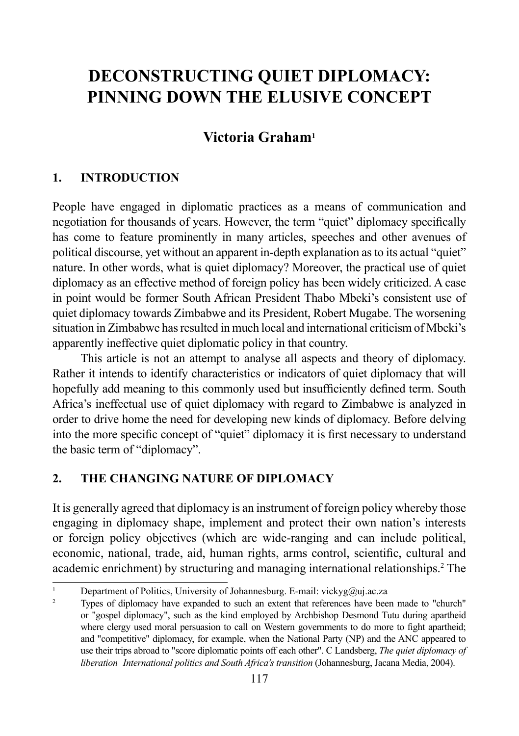# **DECONSTRUCTING QUIET DIPLOMACY: PINNING DOWN THE ELUSIVE CONCEPT**

## **Victoria Graham1**

#### **1. INTRODUCTION**

People have engaged in diplomatic practices as a means of communication and negotiation for thousands of years. However, the term "quiet" diplomacy specifically has come to feature prominently in many articles, speeches and other avenues of political discourse, yet without an apparent in-depth explanation as to its actual "quiet" nature. In other words, what is quiet diplomacy? Moreover, the practical use of quiet diplomacy as an effective method of foreign policy has been widely criticized. A case in point would be former South African President Thabo Mbeki's consistent use of quiet diplomacy towards Zimbabwe and its President, Robert Mugabe. The worsening situation in Zimbabwe has resulted in much local and international criticism of Mbeki's apparently ineffective quiet diplomatic policy in that country.

This article is not an attempt to analyse all aspects and theory of diplomacy. Rather it intends to identify characteristics or indicators of quiet diplomacy that will hopefully add meaning to this commonly used but insufficiently defined term. South Africa's ineffectual use of quiet diplomacy with regard to Zimbabwe is analyzed in order to drive home the need for developing new kinds of diplomacy. Before delving into the more specific concept of "quiet" diplomacy it is first necessary to understand the basic term of "diplomacy".

### **2. THE CHANGING NATURE OF DIPLOMACY**

It is generally agreed that diplomacy is an instrument of foreign policy whereby those engaging in diplomacy shape, implement and protect their own nation's interests or foreign policy objectives (which are wide-ranging and can include political, economic, national, trade, aid, human rights, arms control, scientific, cultural and academic enrichment) by structuring and managing international relationships.<sup>2</sup> The

<sup>&</sup>lt;sup>1</sup> Department of Politics, University of Johannesburg. E-mail: vickyg@uj.ac.za

Types of diplomacy have expanded to such an extent that references have been made to "church" or "gospel diplomacy", such as the kind employed by Archbishop Desmond Tutu during apartheid where clergy used moral persuasion to call on Western governments to do more to fight apartheid; and "competitive" diplomacy, for example, when the National Party (NP) and the ANC appeared to use their trips abroad to "score diplomatic points off each other". C Landsberg, *The quiet diplomacy of liberation International politics and South Africa's transition* (Johannesburg, Jacana Media, 2004).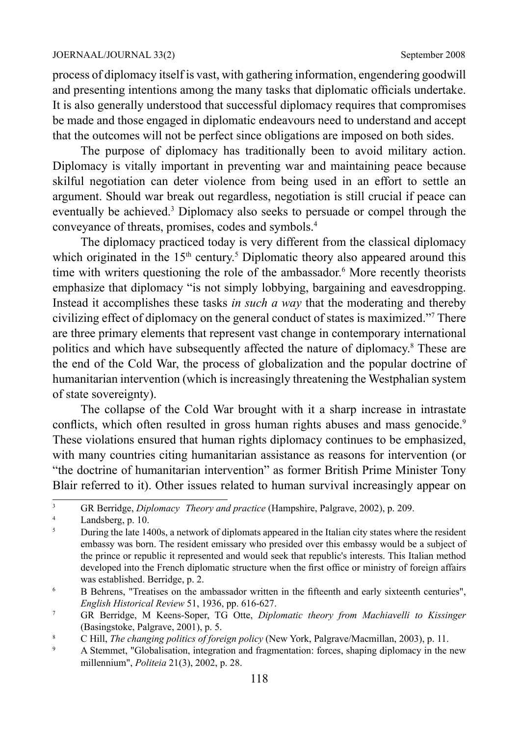process of diplomacy itself is vast, with gathering information, engendering goodwill and presenting intentions among the many tasks that diplomatic officials undertake. It is also generally understood that successful diplomacy requires that compromises be made and those engaged in diplomatic endeavours need to understand and accept that the outcomes will not be perfect since obligations are imposed on both sides.

The purpose of diplomacy has traditionally been to avoid military action. Diplomacy is vitally important in preventing war and maintaining peace because skilful negotiation can deter violence from being used in an effort to settle an argument. Should war break out regardless, negotiation is still crucial if peace can eventually be achieved.<sup>3</sup> Diplomacy also seeks to persuade or compel through the conveyance of threats, promises, codes and symbols.4

The diplomacy practiced today is very different from the classical diplomacy which originated in the  $15<sup>th</sup>$  century.<sup>5</sup> Diplomatic theory also appeared around this time with writers questioning the role of the ambassador.<sup>6</sup> More recently theorists emphasize that diplomacy "is not simply lobbying, bargaining and eavesdropping. Instead it accomplishes these tasks *in such a way* that the moderating and thereby civilizing effect of diplomacy on the general conduct of states is maximized."<sup>7</sup> There are three primary elements that represent vast change in contemporary international politics and which have subsequently affected the nature of diplomacy.<sup>8</sup> These are the end of the Cold War, the process of globalization and the popular doctrine of humanitarian intervention (which is increasingly threatening the Westphalian system of state sovereignty).

The collapse of the Cold War brought with it a sharp increase in intrastate conflicts, which often resulted in gross human rights abuses and mass genocide.<sup>9</sup> These violations ensured that human rights diplomacy continues to be emphasized, with many countries citing humanitarian assistance as reasons for intervention (or "the doctrine of humanitarian intervention" as former British Prime Minister Tony Blair referred to it). Other issues related to human survival increasingly appear on

<sup>&</sup>lt;sup>3</sup> GR Berridge, *Diplomacy Theory and practice* (Hampshire, Palgrave, 2002), p. 209.

 $\frac{4}{5}$  Landsberg, p. 10.

<sup>5</sup> During the late 1400s, a network of diplomats appeared in the Italian city states where the resident embassy was born. The resident emissary who presided over this embassy would be a subject of the prince or republic it represented and would seek that republic's interests. This Italian method developed into the French diplomatic structure when the first office or ministry of foreign affairs was established. Berridge, p. 2.

<sup>&</sup>lt;sup>6</sup> B Behrens, "Treatises on the ambassador written in the fifteenth and early sixteenth centuries", *English Historical Review* 51, 1936, pp. 616-627.

<sup>7</sup> GR Berridge, M Keens-Soper, TG Otte, *Diplomatic theory from Machiavelli to Kissinger* (Basingstoke, Palgrave, 2001), p. 5.

<sup>&</sup>lt;sup>8</sup> C Hill, *The changing politics of foreign policy* (New York, Palgrave/Macmillan, 2003), p. 11.

<sup>9</sup> A Stemmet, "Globalisation, integration and fragmentation: forces, shaping diplomacy in the new millennium", *Politeia* 21(3), 2002, p. 28.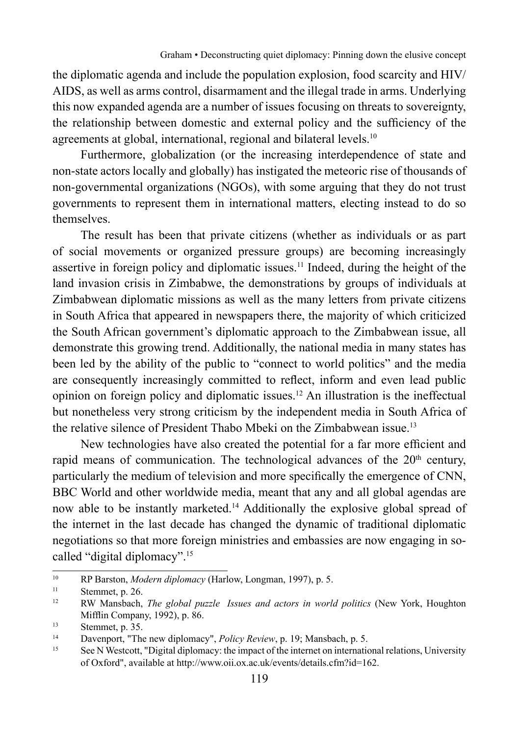the diplomatic agenda and include the population explosion, food scarcity and HIV/ AIDS, as well as arms control, disarmament and the illegal trade in arms. Underlying this now expanded agenda are a number of issues focusing on threats to sovereignty, the relationship between domestic and external policy and the sufficiency of the agreements at global, international, regional and bilateral levels.<sup>10</sup>

Furthermore, globalization (or the increasing interdependence of state and non-state actors locally and globally) has instigated the meteoric rise of thousands of non-governmental organizations (NGOs), with some arguing that they do not trust governments to represent them in international matters, electing instead to do so themselves.

The result has been that private citizens (whether as individuals or as part of social movements or organized pressure groups) are becoming increasingly assertive in foreign policy and diplomatic issues.<sup>11</sup> Indeed, during the height of the land invasion crisis in Zimbabwe, the demonstrations by groups of individuals at Zimbabwean diplomatic missions as well as the many letters from private citizens in South Africa that appeared in newspapers there, the majority of which criticized the South African government's diplomatic approach to the Zimbabwean issue, all demonstrate this growing trend. Additionally, the national media in many states has been led by the ability of the public to "connect to world politics" and the media are consequently increasingly committed to reflect, inform and even lead public opinion on foreign policy and diplomatic issues.12 An illustration is the ineffectual but nonetheless very strong criticism by the independent media in South Africa of the relative silence of President Thabo Mbeki on the Zimbabwean issue.13

New technologies have also created the potential for a far more efficient and rapid means of communication. The technological advances of the  $20<sup>th</sup>$  century, particularly the medium of television and more specifically the emergence of CNN, BBC World and other worldwide media, meant that any and all global agendas are now able to be instantly marketed.14 Additionally the explosive global spread of the internet in the last decade has changed the dynamic of traditional diplomatic negotiations so that more foreign ministries and embassies are now engaging in socalled "digital diplomacy".15

<sup>10</sup> RP Barston, *Modern diplomacy* (Harlow, Longman, 1997), p. 5.

Stemmet, p. 26.

<sup>12</sup> RW Mansbach, *The global puzzle Issues and actors in world politics* (New York, Houghton Mifflin Company, 1992), p. 86.

<sup>13</sup> Stemmet, p. 35.

<sup>14</sup> Davenport, "The new diplomacy", *Policy Review*, p. 19; Mansbach, p. 5.

<sup>&</sup>lt;sup>15</sup> See N Westcott, "Digital diplomacy: the impact of the internet on international relations, University of Oxford", available at http://www.oii.ox.ac.uk/events/details.cfm?id=162.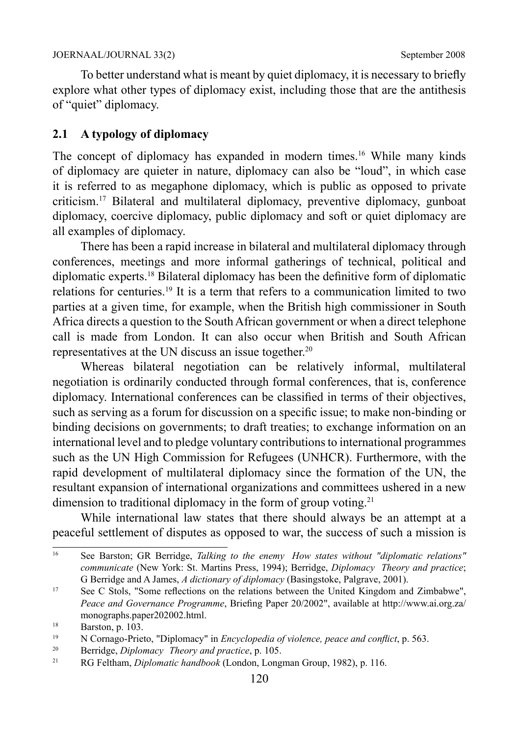To better understand what is meant by quiet diplomacy, it is necessary to briefly explore what other types of diplomacy exist, including those that are the antithesis of "quiet" diplomacy.

#### **2.1 A typology of diplomacy**

The concept of diplomacy has expanded in modern times.<sup>16</sup> While many kinds of diplomacy are quieter in nature, diplomacy can also be "loud", in which case it is referred to as megaphone diplomacy, which is public as opposed to private criticism.17 Bilateral and multilateral diplomacy, preventive diplomacy, gunboat diplomacy, coercive diplomacy, public diplomacy and soft or quiet diplomacy are all examples of diplomacy.

There has been a rapid increase in bilateral and multilateral diplomacy through conferences, meetings and more informal gatherings of technical, political and diplomatic experts.18 Bilateral diplomacy has been the definitive form of diplomatic relations for centuries.19 It is a term that refers to a communication limited to two parties at a given time, for example, when the British high commissioner in South Africa directs a question to the South African government or when a direct telephone call is made from London. It can also occur when British and South African representatives at the UN discuss an issue together.<sup>20</sup>

Whereas bilateral negotiation can be relatively informal, multilateral negotiation is ordinarily conducted through formal conferences, that is, conference diplomacy. International conferences can be classified in terms of their objectives, such as serving as a forum for discussion on a specific issue; to make non-binding or binding decisions on governments; to draft treaties; to exchange information on an international level and to pledge voluntary contributions to international programmes such as the UN High Commission for Refugees (UNHCR). Furthermore, with the rapid development of multilateral diplomacy since the formation of the UN, the resultant expansion of international organizations and committees ushered in a new dimension to traditional diplomacy in the form of group voting.<sup>21</sup>

While international law states that there should always be an attempt at a peaceful settlement of disputes as opposed to war, the success of such a mission is

<sup>16</sup> See Barston; GR Berridge, *Talking to the enemy How states without "diplomatic relations" communicate* (New York: St. Martins Press, 1994); Berridge, *Diplomacy Theory and practice*; G Berridge and A James, *A dictionary of diplomacy* (Basingstoke, Palgrave, 2001).

<sup>&</sup>lt;sup>17</sup> See C Stols, "Some reflections on the relations between the United Kingdom and Zimbabwe", *Peace and Governance Programme*, Briefing Paper 20/2002", available at http://www.ai.org.za/ monographs.paper202002.html.

 $\frac{18}{19}$  Barston, p. 103.

<sup>19</sup> N Cornago-Prieto, "Diplomacy" in *Encyclopedia of violence, peace and conflict*, p. 563.

<sup>20</sup> Berridge, *Diplomacy Theory and practice*, p. 105.

<sup>21</sup> RG Feltham, *Diplomatic handbook* (London, Longman Group, 1982), p. 116.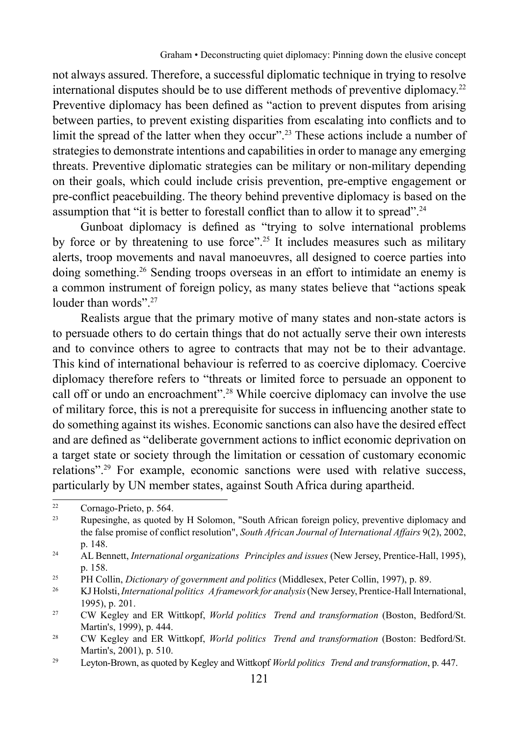not always assured. Therefore, a successful diplomatic technique in trying to resolve international disputes should be to use different methods of preventive diplomacy.22 Preventive diplomacy has been defined as "action to prevent disputes from arising between parties, to prevent existing disparities from escalating into conflicts and to limit the spread of the latter when they occur".<sup>23</sup> These actions include a number of strategies to demonstrate intentions and capabilities in order to manage any emerging threats. Preventive diplomatic strategies can be military or non-military depending on their goals, which could include crisis prevention, pre-emptive engagement or pre-conflict peacebuilding. The theory behind preventive diplomacy is based on the assumption that "it is better to forestall conflict than to allow it to spread".<sup>24</sup>

Gunboat diplomacy is defined as "trying to solve international problems by force or by threatening to use force".25 It includes measures such as military alerts, troop movements and naval manoeuvres, all designed to coerce parties into doing something.26 Sending troops overseas in an effort to intimidate an enemy is a common instrument of foreign policy, as many states believe that "actions speak louder than words"<sup>27</sup>

Realists argue that the primary motive of many states and non-state actors is to persuade others to do certain things that do not actually serve their own interests and to convince others to agree to contracts that may not be to their advantage. This kind of international behaviour is referred to as coercive diplomacy. Coercive diplomacy therefore refers to "threats or limited force to persuade an opponent to call off or undo an encroachment".28 While coercive diplomacy can involve the use of military force, this is not a prerequisite for success in influencing another state to do something against its wishes. Economic sanctions can also have the desired effect and are defined as "deliberate government actions to inflict economic deprivation on a target state or society through the limitation or cessation of customary economic relations".29 For example, economic sanctions were used with relative success, particularly by UN member states, against South Africa during apartheid.

 $22$  Cornago-Prieto, p. 564.

Rupesinghe, as quoted by H Solomon, "South African foreign policy, preventive diplomacy and the false promise of conflict resolution", *South African Journal of International Affairs* 9(2), 2002, p. 148.

<sup>24</sup> AL Bennett, *International organizations Principles and issues* (New Jersey, Prentice-Hall, 1995), p. 158.

<sup>25</sup> PH Collin, *Dictionary of government and politics* (Middlesex, Peter Collin, 1997), p. 89.

<sup>26</sup> KJ Holsti, *International politics A framework for analysis* (New Jersey, Prentice-Hall International, 1995), p. 201.

<sup>27</sup> CW Kegley and ER Wittkopf, *World politics Trend and transformation* (Boston, Bedford/St. Martin's, 1999), p. 444.

<sup>28</sup> CW Kegley and ER Wittkopf, *World politics Trend and transformation* (Boston: Bedford/St. Martin's, 2001), p. 510.

<sup>29</sup> Leyton-Brown, as quoted by Kegley and Wittkopf *World politics Trend and transformation*, p. 447.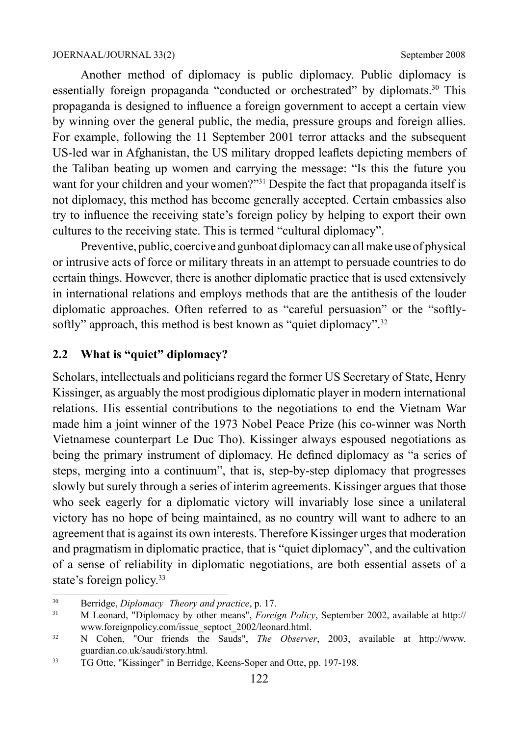Another method of diplomacy is public diplomacy. Public diplomacy is essentially foreign propaganda "conducted or orchestrated" by diplomats.30 This propaganda is designed to influence a foreign government to accept a certain view by winning over the general public, the media, pressure groups and foreign allies. For example, following the 11 September 2001 terror attacks and the subsequent US-led war in Afghanistan, the US military dropped leaflets depicting members of the Taliban beating up women and carrying the message: "Is this the future you want for your children and your women?"<sup>31</sup> Despite the fact that propaganda itself is not diplomacy, this method has become generally accepted. Certain embassies also try to influence the receiving state's foreign policy by helping to export their own cultures to the receiving state. This is termed "cultural diplomacy".

Preventive, public, coercive and gunboat diplomacy can all make use of physical or intrusive acts of force or military threats in an attempt to persuade countries to do certain things. However, there is another diplomatic practice that is used extensively in international relations and employs methods that are the antithesis of the louder diplomatic approaches. Often referred to as "careful persuasion" or the "softlysoftly" approach, this method is best known as "quiet diplomacy".<sup>32</sup>

#### **2.2 What is "quiet" diplomacy?**

Scholars, intellectuals and politicians regard the former US Secretary of State, Henry Kissinger, as arguably the most prodigious diplomatic player in modern international relations. His essential contributions to the negotiations to end the Vietnam War made him a joint winner of the 1973 Nobel Peace Prize (his co-winner was North Vietnamese counterpart Le Duc Tho). Kissinger always espoused negotiations as being the primary instrument of diplomacy. He defined diplomacy as "a series of steps, merging into a continuum", that is, step-by-step diplomacy that progresses slowly but surely through a series of interim agreements. Kissinger argues that those who seek eagerly for a diplomatic victory will invariably lose since a unilateral victory has no hope of being maintained, as no country will want to adhere to an agreement that is against its own interests. Therefore Kissinger urges that moderation and pragmatism in diplomatic practice, that is "quiet diplomacy", and the cultivation of a sense of reliability in diplomatic negotiations, are both essential assets of a state's foreign policy.<sup>33</sup>

<sup>30</sup> Berridge, *Diplomacy Theory and practice*, p. 17.

<sup>31</sup> M Leonard, "Diplomacy by other means", *Foreign Policy*, September 2002, available at http:// www.foreignpolicy.com/issue\_septoct\_2002/leonard.html.

<sup>32</sup> N Cohen, "Our friends the Sauds", *The Observer*, 2003, available at http://www. guardian.co.uk/saudi/story.html.

<sup>33</sup> TG Otte, "Kissinger" in Berridge, Keens-Soper and Otte, pp. 197-198.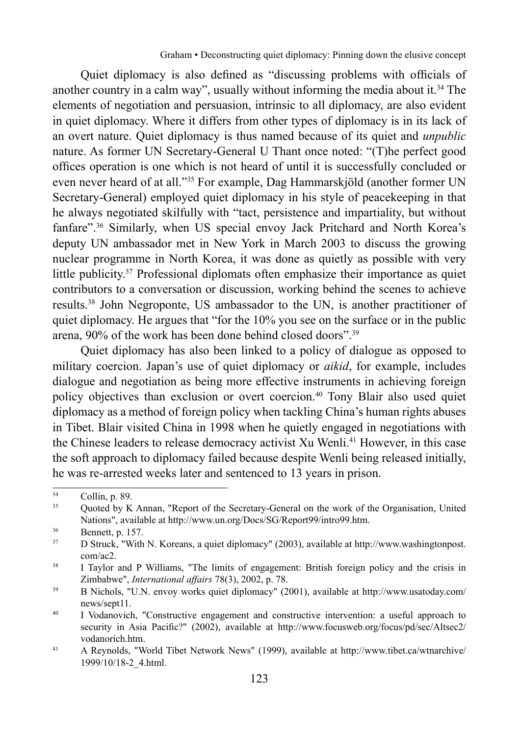Quiet diplomacy is also defined as "discussing problems with officials of another country in a calm way", usually without informing the media about it.<sup>34</sup> The elements of negotiation and persuasion, intrinsic to all diplomacy, are also evident in quiet diplomacy. Where it differs from other types of diplomacy is in its lack of an overt nature. Quiet diplomacy is thus named because of its quiet and *unpublic* nature. As former UN Secretary-General U Thant once noted: "(T)he perfect good offices operation is one which is not heard of until it is successfully concluded or even never heard of at all."35 For example, Dag Hammarskjöld (another former UN Secretary-General) employed quiet diplomacy in his style of peacekeeping in that he always negotiated skilfully with "tact, persistence and impartiality, but without fanfare".36 Similarly, when US special envoy Jack Pritchard and North Korea's deputy UN ambassador met in New York in March 2003 to discuss the growing nuclear programme in North Korea, it was done as quietly as possible with very little publicity.<sup>37</sup> Professional diplomats often emphasize their importance as quiet contributors to a conversation or discussion, working behind the scenes to achieve results.38 John Negroponte, US ambassador to the UN, is another practitioner of quiet diplomacy. He argues that "for the 10% you see on the surface or in the public arena, 90% of the work has been done behind closed doors".39

Quiet diplomacy has also been linked to a policy of dialogue as opposed to military coercion. Japan's use of quiet diplomacy or *aikid*, for example, includes dialogue and negotiation as being more effective instruments in achieving foreign policy objectives than exclusion or overt coercion.40 Tony Blair also used quiet diplomacy as a method of foreign policy when tackling China's human rights abuses in Tibet. Blair visited China in 1998 when he quietly engaged in negotiations with the Chinese leaders to release democracy activist Xu Wenli.<sup>41</sup> However, in this case the soft approach to diplomacy failed because despite Wenli being released initially, he was re-arrested weeks later and sentenced to 13 years in prison.

 $\frac{34}{35}$  Collin, p. 89.

<sup>35</sup> Quoted by K Annan, "Report of the Secretary-General on the work of the Organisation, United Nations", available at http://www.un.org/Docs/SG/Report99/intro99.htm.

<sup>36</sup> Bennett, p. 157.

<sup>37</sup> D Struck, "With N. Koreans, a quiet diplomacy" (2003), available at http://www.washingtonpost. com/ac2.

<sup>&</sup>lt;sup>38</sup> I Taylor and P Williams, "The limits of engagement: British foreign policy and the crisis in Zimbabwe", *International affairs* 78(3), 2002, p. 78.

<sup>39</sup> B Nichols, "U.N. envoy works quiet diplomacy" (2001), available at http://www.usatoday.com/ news/sept11.

<sup>&</sup>lt;sup>40</sup> I Vodanovich, "Constructive engagement and constructive intervention: a useful approach to security in Asia Pacific?" (2002), available at http://www.focusweb.org/focus/pd/sec/Altsec2/ vodanorich.htm.

<sup>41</sup> A Reynolds, "World Tibet Network News" (1999), available at http://www.tibet.ca/wtnarchive/ 1999/10/18-2\_4.html.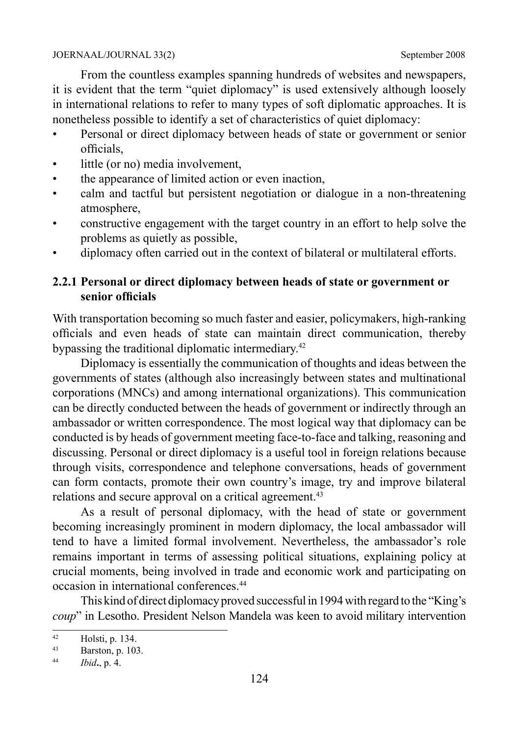From the countless examples spanning hundreds of websites and newspapers, it is evident that the term "quiet diplomacy" is used extensively although loosely in international relations to refer to many types of soft diplomatic approaches. It is nonetheless possible to identify a set of characteristics of quiet diplomacy:

- Personal or direct diplomacy between heads of state or government or senior officials,
- little (or no) media involvement.
- the appearance of limited action or even inaction,
- calm and tactful but persistent negotiation or dialogue in a non-threatening atmosphere,
- constructive engagement with the target country in an effort to help solve the problems as quietly as possible,
- diplomacy often carried out in the context of bilateral or multilateral efforts.

#### **2.2.1 Personal or direct diplomacy between heads of state or government or senior officials**

With transportation becoming so much faster and easier, policymakers, high-ranking officials and even heads of state can maintain direct communication, thereby bypassing the traditional diplomatic intermediary.42

Diplomacy is essentially the communication of thoughts and ideas between the governments of states (although also increasingly between states and multinational corporations (MNCs) and among international organizations). This communication can be directly conducted between the heads of government or indirectly through an ambassador or written correspondence. The most logical way that diplomacy can be conducted is by heads of government meeting face-to-face and talking, reasoning and discussing. Personal or direct diplomacy is a useful tool in foreign relations because through visits, correspondence and telephone conversations, heads of government can form contacts, promote their own country's image, try and improve bilateral relations and secure approval on a critical agreement.<sup>43</sup>

As a result of personal diplomacy, with the head of state or government becoming increasingly prominent in modern diplomacy, the local ambassador will tend to have a limited formal involvement. Nevertheless, the ambassador's role remains important in terms of assessing political situations, explaining policy at crucial moments, being involved in trade and economic work and participating on occasion in international conferences<sup>44</sup>

This kind of direct diplomacy proved successful in 1994 with regard to the "King's *coup*" in Lesotho. President Nelson Mandela was keen to avoid military intervention

 $\overline{42}$  Holsti, p. 134.

<sup>43</sup> Barston, p. 103.

<sup>44</sup> *Ibid***.**, p. 4.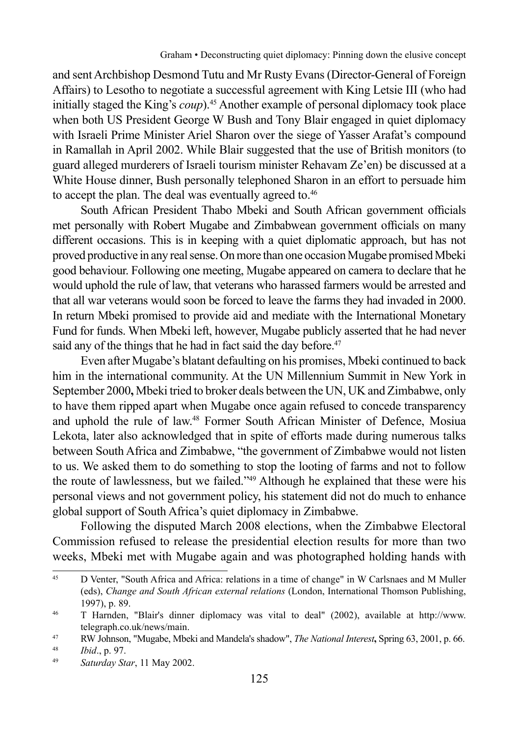and sent Archbishop Desmond Tutu and Mr Rusty Evans (Director-General of Foreign Affairs) to Lesotho to negotiate a successful agreement with King Letsie III (who had initially staged the King's *coup*).45 Another example of personal diplomacy took place when both US President George W Bush and Tony Blair engaged in quiet diplomacy with Israeli Prime Minister Ariel Sharon over the siege of Yasser Arafat's compound in Ramallah in April 2002. While Blair suggested that the use of British monitors (to guard alleged murderers of Israeli tourism minister Rehavam Ze'en) be discussed at a White House dinner, Bush personally telephoned Sharon in an effort to persuade him to accept the plan. The deal was eventually agreed to.<sup>46</sup>

South African President Thabo Mbeki and South African government officials met personally with Robert Mugabe and Zimbabwean government officials on many different occasions. This is in keeping with a quiet diplomatic approach, but has not proved productive in any real sense. On more than one occasion Mugabe promised Mbeki good behaviour. Following one meeting, Mugabe appeared on camera to declare that he would uphold the rule of law, that veterans who harassed farmers would be arrested and that all war veterans would soon be forced to leave the farms they had invaded in 2000. In return Mbeki promised to provide aid and mediate with the International Monetary Fund for funds. When Mbeki left, however, Mugabe publicly asserted that he had never said any of the things that he had in fact said the day before.<sup>47</sup>

Even after Mugabe's blatant defaulting on his promises, Mbeki continued to back him in the international community. At the UN Millennium Summit in New York in September 2000**,** Mbeki tried to broker deals between the UN, UK and Zimbabwe, only to have them ripped apart when Mugabe once again refused to concede transparency and uphold the rule of law.48 Former South African Minister of Defence, Mosiua Lekota, later also acknowledged that in spite of efforts made during numerous talks between South Africa and Zimbabwe, "the government of Zimbabwe would not listen to us. We asked them to do something to stop the looting of farms and not to follow the route of lawlessness, but we failed."49 Although he explained that these were his personal views and not government policy, his statement did not do much to enhance global support of South Africa's quiet diplomacy in Zimbabwe.

Following the disputed March 2008 elections, when the Zimbabwe Electoral Commission refused to release the presidential election results for more than two weeks, Mbeki met with Mugabe again and was photographed holding hands with

<sup>&</sup>lt;sup>45</sup> D Venter, "South Africa and Africa: relations in a time of change" in W Carlsnaes and M Muller (eds), *Change and South African external relations* (London, International Thomson Publishing, 1997), p. 89.

<sup>46</sup> T Harnden, "Blair's dinner diplomacy was vital to deal" (2002), available at http://www. telegraph.co.uk/news/main.

<sup>47</sup> RW Johnson, "Mugabe, Mbeki and Mandela's shadow", *The National Interest***,** Spring 63, 2001, p. 66.

<sup>48</sup> *Ibid*., p. 97.

<sup>49</sup> *Saturday Star*, 11 May 2002.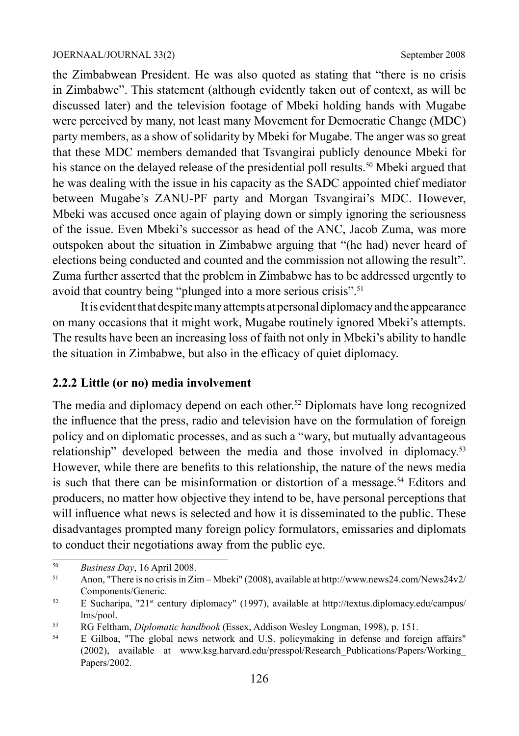the Zimbabwean President. He was also quoted as stating that "there is no crisis in Zimbabwe". This statement (although evidently taken out of context, as will be discussed later) and the television footage of Mbeki holding hands with Mugabe were perceived by many, not least many Movement for Democratic Change (MDC) party members, as a show of solidarity by Mbeki for Mugabe. The anger was so great that these MDC members demanded that Tsvangirai publicly denounce Mbeki for his stance on the delayed release of the presidential poll results.<sup>50</sup> Mbeki argued that he was dealing with the issue in his capacity as the SADC appointed chief mediator between Mugabe's ZANU-PF party and Morgan Tsvangirai's MDC. However, Mbeki was accused once again of playing down or simply ignoring the seriousness of the issue. Even Mbeki's successor as head of the ANC, Jacob Zuma, was more outspoken about the situation in Zimbabwe arguing that "(he had) never heard of elections being conducted and counted and the commission not allowing the result". Zuma further asserted that the problem in Zimbabwe has to be addressed urgently to avoid that country being "plunged into a more serious crisis".<sup>51</sup>

It is evident that despite many attempts at personal diplomacy and the appearance on many occasions that it might work, Mugabe routinely ignored Mbeki's attempts. The results have been an increasing loss of faith not only in Mbeki's ability to handle the situation in Zimbabwe, but also in the efficacy of quiet diplomacy.

#### **2.2.2 Little (or no) media involvement**

The media and diplomacy depend on each other.<sup>52</sup> Diplomats have long recognized the influence that the press, radio and television have on the formulation of foreign policy and on diplomatic processes, and as such a "wary, but mutually advantageous relationship" developed between the media and those involved in diplomacy.<sup>53</sup> However, while there are benefits to this relationship, the nature of the news media is such that there can be misinformation or distortion of a message.<sup>54</sup> Editors and producers, no matter how objective they intend to be, have personal perceptions that will influence what news is selected and how it is disseminated to the public. These disadvantages prompted many foreign policy formulators, emissaries and diplomats to conduct their negotiations away from the public eye.

 $50$  *Business Day*, 16 April 2008.

<sup>51</sup> Anon, "There is no crisis in Zim – Mbeki" (2008), available at http://www.news24.com/News24v2/ Components/Generic.

 $52$  E Sucharipa, "21<sup>st</sup> century diplomacy" (1997), available at http://textus.diplomacy.edu/campus/ lms/pool.

<sup>53</sup> RG Feltham, *Diplomatic handbook* (Essex, Addison Wesley Longman, 1998), p. 151.

<sup>&</sup>lt;sup>54</sup> E Gilboa, "The global news network and U.S. policymaking in defense and foreign affairs" (2002), available at www.ksg.harvard.edu/presspol/Research\_Publications/Papers/Working\_ Papers/2002.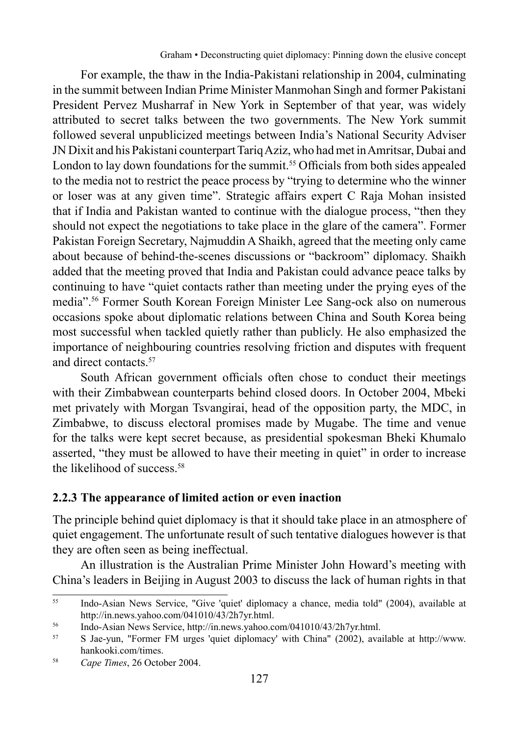For example, the thaw in the India-Pakistani relationship in 2004, culminating in the summit between Indian Prime Minister Manmohan Singh and former Pakistani President Pervez Musharraf in New York in September of that year, was widely attributed to secret talks between the two governments. The New York summit followed several unpublicized meetings between India's National Security Adviser JN Dixit and his Pakistani counterpart Tariq Aziz, who had met in Amritsar, Dubai and London to lay down foundations for the summit.<sup>55</sup> Officials from both sides appealed to the media not to restrict the peace process by "trying to determine who the winner or loser was at any given time". Strategic affairs expert C Raja Mohan insisted that if India and Pakistan wanted to continue with the dialogue process, "then they should not expect the negotiations to take place in the glare of the camera". Former Pakistan Foreign Secretary, Najmuddin A Shaikh, agreed that the meeting only came about because of behind-the-scenes discussions or "backroom" diplomacy. Shaikh added that the meeting proved that India and Pakistan could advance peace talks by continuing to have "quiet contacts rather than meeting under the prying eyes of the media".56 Former South Korean Foreign Minister Lee Sang-ock also on numerous occasions spoke about diplomatic relations between China and South Korea being most successful when tackled quietly rather than publicly. He also emphasized the importance of neighbouring countries resolving friction and disputes with frequent and direct contacts.<sup>57</sup>

South African government officials often chose to conduct their meetings with their Zimbabwean counterparts behind closed doors. In October 2004, Mbeki met privately with Morgan Tsvangirai, head of the opposition party, the MDC, in Zimbabwe, to discuss electoral promises made by Mugabe. The time and venue for the talks were kept secret because, as presidential spokesman Bheki Khumalo asserted, "they must be allowed to have their meeting in quiet" in order to increase the likelihood of success<sup>58</sup>

#### **2.2.3 The appearance of limited action or even inaction**

The principle behind quiet diplomacy is that it should take place in an atmosphere of quiet engagement. The unfortunate result of such tentative dialogues however is that they are often seen as being ineffectual.

An illustration is the Australian Prime Minister John Howard's meeting with China's leaders in Beijing in August 2003 to discuss the lack of human rights in that

<sup>55</sup> Indo-Asian News Service, "Give 'quiet' diplomacy a chance, media told" (2004), available at http://in.news.yahoo.com/041010/43/2h7yr.html.

<sup>&</sup>lt;sup>56</sup> Indo-Asian News Service, http://in.news.yahoo.com/041010/43/2h7yr.html.

<sup>57</sup> S Jae-yun, "Former FM urges 'quiet diplomacy' with China" (2002), available at http://www. hankooki.com/times.

<sup>58</sup> *Cape Times*, 26 October 2004.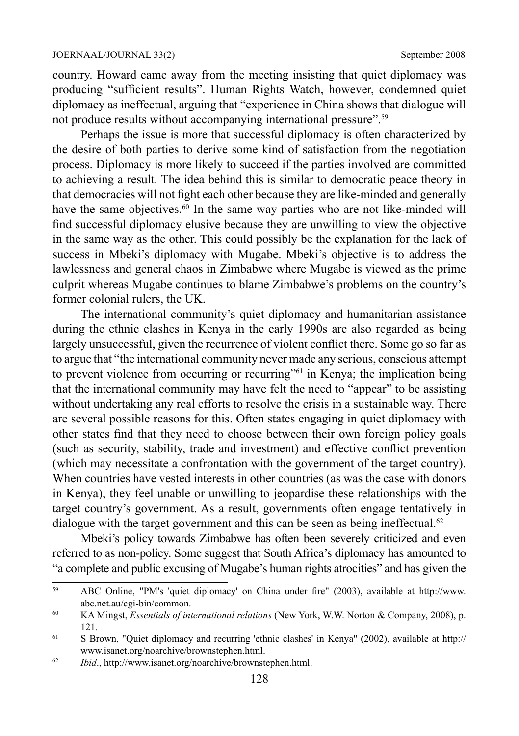country. Howard came away from the meeting insisting that quiet diplomacy was producing "sufficient results". Human Rights Watch, however, condemned quiet diplomacy as ineffectual, arguing that "experience in China shows that dialogue will not produce results without accompanying international pressure".<sup>59</sup>

Perhaps the issue is more that successful diplomacy is often characterized by the desire of both parties to derive some kind of satisfaction from the negotiation process. Diplomacy is more likely to succeed if the parties involved are committed to achieving a result. The idea behind this is similar to democratic peace theory in that democracies will not fight each other because they are like-minded and generally have the same objectives.<sup>60</sup> In the same way parties who are not like-minded will find successful diplomacy elusive because they are unwilling to view the objective in the same way as the other. This could possibly be the explanation for the lack of success in Mbeki's diplomacy with Mugabe. Mbeki's objective is to address the lawlessness and general chaos in Zimbabwe where Mugabe is viewed as the prime culprit whereas Mugabe continues to blame Zimbabwe's problems on the country's former colonial rulers, the UK.

The international community's quiet diplomacy and humanitarian assistance during the ethnic clashes in Kenya in the early 1990s are also regarded as being largely unsuccessful, given the recurrence of violent conflict there. Some go so far as to argue that "the international community never made any serious, conscious attempt to prevent violence from occurring or recurring"<sup>61</sup> in Kenya; the implication being that the international community may have felt the need to "appear" to be assisting without undertaking any real efforts to resolve the crisis in a sustainable way. There are several possible reasons for this. Often states engaging in quiet diplomacy with other states find that they need to choose between their own foreign policy goals (such as security, stability, trade and investment) and effective conflict prevention (which may necessitate a confrontation with the government of the target country). When countries have vested interests in other countries (as was the case with donors in Kenya), they feel unable or unwilling to jeopardise these relationships with the target country's government. As a result, governments often engage tentatively in dialogue with the target government and this can be seen as being ineffectual.<sup>62</sup>

Mbeki's policy towards Zimbabwe has often been severely criticized and even referred to as non-policy. Some suggest that South Africa's diplomacy has amounted to "a complete and public excusing of Mugabe's human rights atrocities" and has given the

<sup>59</sup> ABC Online, "PM's 'quiet diplomacy' on China under fire" (2003), available at http://www. abc.net.au/cgi-bin/common.

<sup>60</sup> KA Mingst, *Essentials of international relations* (New York, W.W. Norton & Company, 2008), p. 121.

<sup>&</sup>lt;sup>61</sup> S Brown, "Quiet diplomacy and recurring 'ethnic clashes' in Kenya" (2002), available at http:// www.isanet.org/noarchive/brownstephen.html.

<sup>62</sup> *Ibid*., http://www.isanet.org/noarchive/brownstephen.html.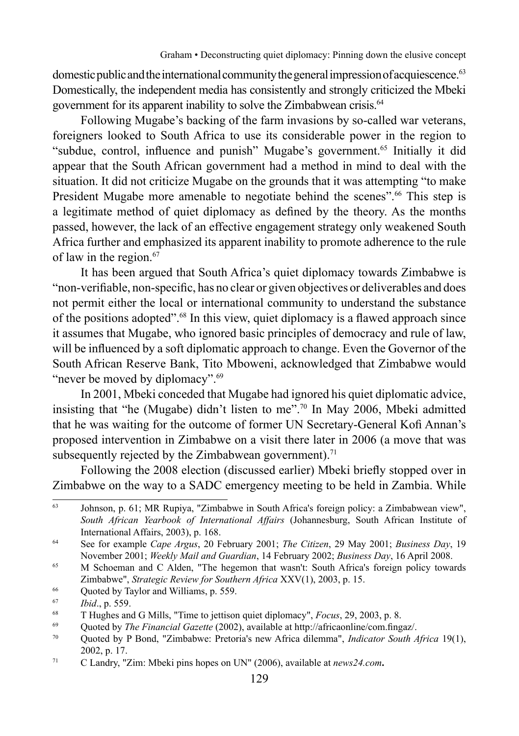domestic public and the international community the general impression of acquiescence.<sup>63</sup> Domestically, the independent media has consistently and strongly criticized the Mbeki government for its apparent inability to solve the Zimbabwean crisis.<sup>64</sup>

Following Mugabe's backing of the farm invasions by so-called war veterans, foreigners looked to South Africa to use its considerable power in the region to "subdue, control, influence and punish" Mugabe's government.<sup>65</sup> Initially it did appear that the South African government had a method in mind to deal with the situation. It did not criticize Mugabe on the grounds that it was attempting "to make President Mugabe more amenable to negotiate behind the scenes".<sup>66</sup> This step is a legitimate method of quiet diplomacy as defined by the theory. As the months passed, however, the lack of an effective engagement strategy only weakened South Africa further and emphasized its apparent inability to promote adherence to the rule of law in the region.<sup>67</sup>

It has been argued that South Africa's quiet diplomacy towards Zimbabwe is "non-verifiable, non-specific, has no clear or given objectives or deliverables and does not permit either the local or international community to understand the substance of the positions adopted".68 In this view, quiet diplomacy is a flawed approach since it assumes that Mugabe, who ignored basic principles of democracy and rule of law, will be influenced by a soft diplomatic approach to change. Even the Governor of the South African Reserve Bank, Tito Mboweni, acknowledged that Zimbabwe would "never be moved by diplomacy".<sup>69</sup>

In 2001, Mbeki conceded that Mugabe had ignored his quiet diplomatic advice, insisting that "he (Mugabe) didn't listen to me".70 In May 2006, Mbeki admitted that he was waiting for the outcome of former UN Secretary-General Kofi Annan's proposed intervention in Zimbabwe on a visit there later in 2006 (a move that was subsequently rejected by the Zimbabwean government).<sup>71</sup>

Following the 2008 election (discussed earlier) Mbeki briefly stopped over in Zimbabwe on the way to a SADC emergency meeting to be held in Zambia. While

<sup>63</sup> Johnson, p. 61; MR Rupiya, "Zimbabwe in South Africa's foreign policy: a Zimbabwean view", *South African Yearbook of International Affairs* (Johannesburg, South African Institute of International Affairs, 2003), p. 168.

<sup>64</sup> See for example *Cape Argus*, 20 February 2001; *The Citizen*, 29 May 2001; *Business Day*, 19 November 2001; *Weekly Mail and Guardian*, 14 February 2002; *Business Day*, 16 April 2008.

<sup>&</sup>lt;sup>65</sup> M Schoeman and C Alden, "The hegemon that wasn't: South Africa's foreign policy towards 2imbabwe", *Strategic Review for Southern Africa* XXV(1), 2003, p. 15.<br>
66 Quoted by Taylor and Williams, p. 559.<br>
76 *Ibid.*, p. 559.<br>
87 THughes and G Mills, "Time to jettison quiet diplomacy", *Focus*, 29, 2003, p. 8.<br>

<sup>70</sup> Quoted by P Bond, "Zimbabwe: Pretoria's new Africa dilemma", *Indicator South Africa* 19(1), 2002, p. 17.

<sup>71</sup> C Landry, "Zim: Mbeki pins hopes on UN" (2006), available at *news24.com***.**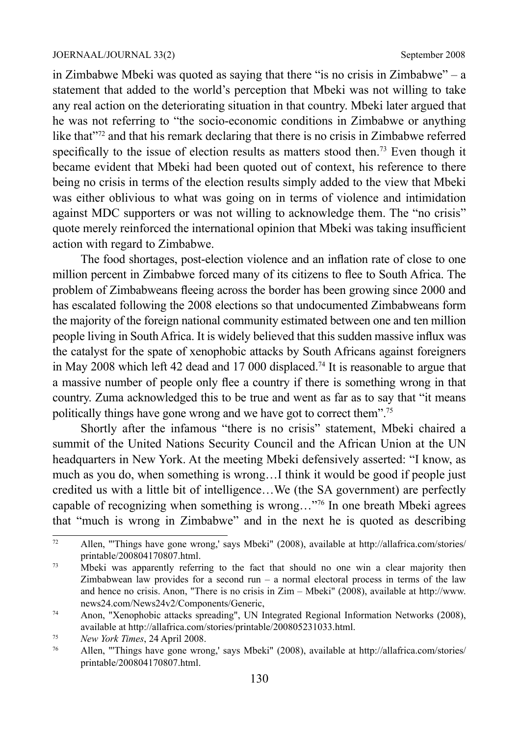in Zimbabwe Mbeki was quoted as saying that there "is no crisis in Zimbabwe" – a statement that added to the world's perception that Mbeki was not willing to take any real action on the deteriorating situation in that country. Mbeki later argued that he was not referring to "the socio-economic conditions in Zimbabwe or anything like that"72 and that his remark declaring that there is no crisis in Zimbabwe referred specifically to the issue of election results as matters stood then.<sup>73</sup> Even though it became evident that Mbeki had been quoted out of context, his reference to there being no crisis in terms of the election results simply added to the view that Mbeki was either oblivious to what was going on in terms of violence and intimidation against MDC supporters or was not willing to acknowledge them. The "no crisis" quote merely reinforced the international opinion that Mbeki was taking insufficient action with regard to Zimbabwe.

The food shortages, post-election violence and an inflation rate of close to one million percent in Zimbabwe forced many of its citizens to flee to South Africa. The problem of Zimbabweans fleeing across the border has been growing since 2000 and has escalated following the 2008 elections so that undocumented Zimbabweans form the majority of the foreign national community estimated between one and ten million people living in South Africa. It is widely believed that this sudden massive influx was the catalyst for the spate of xenophobic attacks by South Africans against foreigners in May 2008 which left 42 dead and 17 000 displaced.74 It is reasonable to argue that a massive number of people only flee a country if there is something wrong in that country. Zuma acknowledged this to be true and went as far as to say that "it means politically things have gone wrong and we have got to correct them".75

Shortly after the infamous "there is no crisis" statement, Mbeki chaired a summit of the United Nations Security Council and the African Union at the UN headquarters in New York. At the meeting Mbeki defensively asserted: "I know, as much as you do, when something is wrong…I think it would be good if people just credited us with a little bit of intelligence…We (the SA government) are perfectly capable of recognizing when something is wrong…"76 In one breath Mbeki agrees that "much is wrong in Zimbabwe" and in the next he is quoted as describing

<sup>72</sup> Allen, "'Things have gone wrong,' says Mbeki" (2008), available at http://allafrica.com/stories/ printable/200804170807.html.

<sup>&</sup>lt;sup>73</sup> Mbeki was apparently referring to the fact that should no one win a clear majority then Zimbabwean law provides for a second run  $-$  a normal electoral process in terms of the law and hence no crisis. Anon, "There is no crisis in Zim – Mbeki" (2008), available at http://www. news24.com/News24v2/Components/Generic,

<sup>74</sup> Anon, "Xenophobic attacks spreading", UN Integrated Regional Information Networks (2008), available at http://allafrica.com/stories/printable/200805231033.html.

<sup>75</sup> *New York Times*, 24 April 2008.

<sup>76</sup> Allen, "'Things have gone wrong,' says Mbeki" (2008), available at http://allafrica.com/stories/ printable/200804170807.html.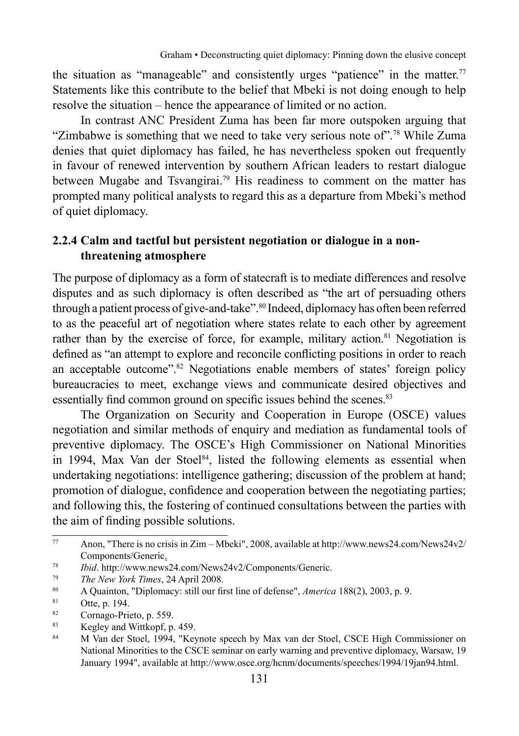the situation as "manageable" and consistently urges "patience" in the matter.<sup>77</sup> Statements like this contribute to the belief that Mbeki is not doing enough to help resolve the situation – hence the appearance of limited or no action.

In contrast ANC President Zuma has been far more outspoken arguing that "Zimbabwe is something that we need to take very serious note of".78 While Zuma denies that quiet diplomacy has failed, he has nevertheless spoken out frequently in favour of renewed intervention by southern African leaders to restart dialogue between Mugabe and Tsvangirai.<sup>79</sup> His readiness to comment on the matter has prompted many political analysts to regard this as a departure from Mbeki's method of quiet diplomacy.

### **2.2.4 Calm and tactful but persistent negotiation or dialogue in a nonthreatening atmosphere**

The purpose of diplomacy as a form of statecraft is to mediate differences and resolve disputes and as such diplomacy is often described as "the art of persuading others through a patient process of give-and-take".80 Indeed, diplomacy has often been referred to as the peaceful art of negotiation where states relate to each other by agreement rather than by the exercise of force, for example, military action.<sup>81</sup> Negotiation is defined as "an attempt to explore and reconcile conflicting positions in order to reach an acceptable outcome".82 Negotiations enable members of states' foreign policy bureaucracies to meet, exchange views and communicate desired objectives and essentially find common ground on specific issues behind the scenes.<sup>83</sup>

The Organization on Security and Cooperation in Europe (OSCE) values negotiation and similar methods of enquiry and mediation as fundamental tools of preventive diplomacy. The OSCE's High Commissioner on National Minorities in 1994, Max Van der Stoel<sup>84</sup>, listed the following elements as essential when undertaking negotiations: intelligence gathering; discussion of the problem at hand; promotion of dialogue, confidence and cooperation between the negotiating parties; and following this, the fostering of continued consultations between the parties with the aim of finding possible solutions.

<sup>77</sup> Anon, "There is no crisis in Zim – Mbeki", 2008, available at http://www.news24.com/News24v2/ Components/Generic.

<sup>78</sup> *Ibid*. http://www.news24.com/News24v2/Components/Generic.

<sup>79</sup> *The New York Times*, 24 April 2008.

<sup>80</sup> A Quainton, "Diplomacy: still our first line of defense", *America* 188(2), 2003, p. 9.

 $\frac{81}{82}$  Otte, p. 194.

 $\frac{82}{100}$  Cornago-Prieto, p. 559.

 $^{83}$  Kegley and Wittkopf, p. 459.

<sup>84</sup> M Van der Stoel, 1994, "Keynote speech by Max van der Stoel, CSCE High Commissioner on National Minorities to the CSCE seminar on early warning and preventive diplomacy, Warsaw, 19 January 1994", available at http://www.osce.org/hcnm/documents/speeches/1994/19jan94.html.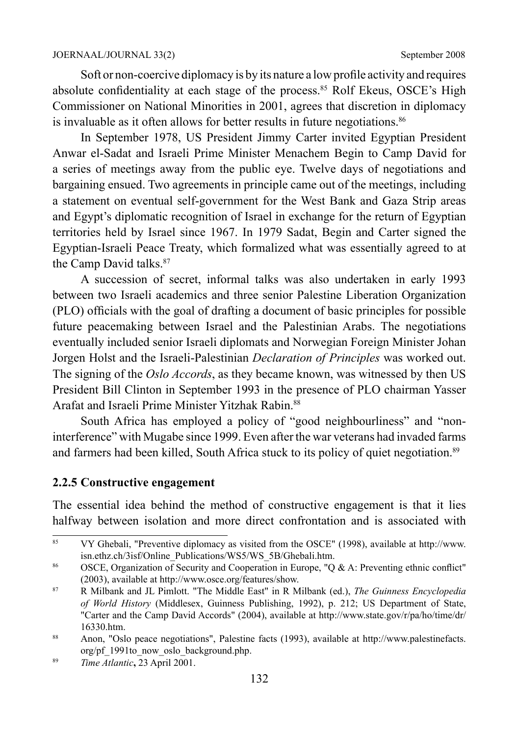Soft or non-coercive diplomacy is by its nature a low profile activity and requires absolute confidentiality at each stage of the process.<sup>85</sup> Rolf Ekeus, OSCE's High Commissioner on National Minorities in 2001, agrees that discretion in diplomacy is invaluable as it often allows for better results in future negotiations.<sup>86</sup>

In September 1978, US President Jimmy Carter invited Egyptian President Anwar el-Sadat and Israeli Prime Minister Menachem Begin to Camp David for a series of meetings away from the public eye. Twelve days of negotiations and bargaining ensued. Two agreements in principle came out of the meetings, including a statement on eventual self-government for the West Bank and Gaza Strip areas and Egypt's diplomatic recognition of Israel in exchange for the return of Egyptian territories held by Israel since 1967. In 1979 Sadat, Begin and Carter signed the Egyptian-Israeli Peace Treaty, which formalized what was essentially agreed to at the Camp David talks.<sup>87</sup>

A succession of secret, informal talks was also undertaken in early 1993 between two Israeli academics and three senior Palestine Liberation Organization (PLO) officials with the goal of drafting a document of basic principles for possible future peacemaking between Israel and the Palestinian Arabs. The negotiations eventually included senior Israeli diplomats and Norwegian Foreign Minister Johan Jorgen Holst and the Israeli-Palestinian *Declaration of Principles* was worked out. The signing of the *Oslo Accords*, as they became known, was witnessed by then US President Bill Clinton in September 1993 in the presence of PLO chairman Yasser Arafat and Israeli Prime Minister Yitzhak Rabin.<sup>88</sup>

South Africa has employed a policy of "good neighbourliness" and "noninterference" with Mugabe since 1999. Even after the war veterans had invaded farms and farmers had been killed, South Africa stuck to its policy of quiet negotiation.<sup>89</sup>

#### **2.2.5 Constructive engagement**

The essential idea behind the method of constructive engagement is that it lies halfway between isolation and more direct confrontation and is associated with

<sup>85</sup> VY Ghebali, "Preventive diplomacy as visited from the OSCE" (1998), available at http://www. isn.ethz.ch/3isf/Online\_Publications/WS5/WS\_5B/Ghebali.htm.

<sup>86</sup> OSCE, Organization of Security and Cooperation in Europe, "Q & A: Preventing ethnic conflict" (2003), available at http://www.osce.org/features/show.

<sup>87</sup> R Milbank and JL Pimlott. "The Middle East" in R Milbank (ed.), *The Guinness Encyclopedia of World History* (Middlesex, Guinness Publishing, 1992), p. 212; US Department of State, "Carter and the Camp David Accords" (2004), available at http://www.state.gov/r/pa/ho/time/dr/ 16330.htm.

<sup>88</sup> Anon, "Oslo peace negotiations", Palestine facts (1993), available at http://www.palestinefacts. org/pf\_1991to\_now\_oslo\_background.php.

<sup>89</sup> *Time Atlantic***,** 23 April 2001.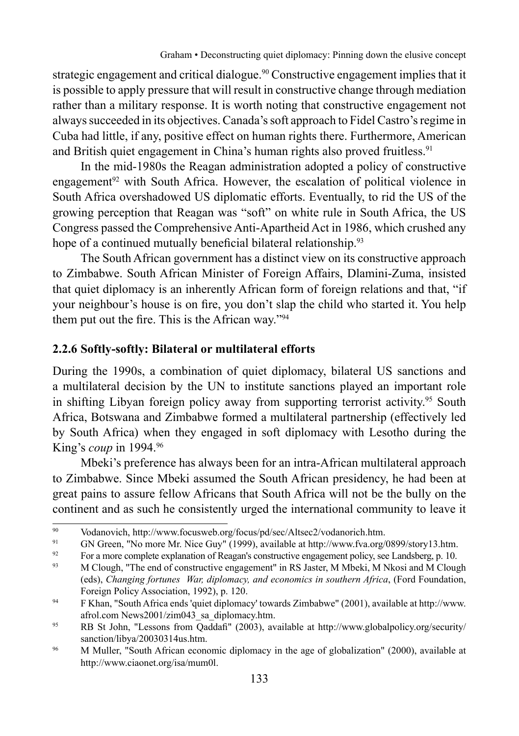strategic engagement and critical dialogue.90 Constructive engagement implies that it is possible to apply pressure that will result in constructive change through mediation rather than a military response. It is worth noting that constructive engagement not always succeeded in its objectives. Canada's soft approach to Fidel Castro's regime in Cuba had little, if any, positive effect on human rights there. Furthermore, American and British quiet engagement in China's human rights also proved fruitless.<sup>91</sup>

In the mid-1980s the Reagan administration adopted a policy of constructive engagement<sup>92</sup> with South Africa. However, the escalation of political violence in South Africa overshadowed US diplomatic efforts. Eventually, to rid the US of the growing perception that Reagan was "soft" on white rule in South Africa, the US Congress passed the Comprehensive Anti-Apartheid Act in 1986, which crushed any hope of a continued mutually beneficial bilateral relationship.<sup>93</sup>

The South African government has a distinct view on its constructive approach to Zimbabwe. South African Minister of Foreign Affairs, Dlamini-Zuma, insisted that quiet diplomacy is an inherently African form of foreign relations and that, "if your neighbour's house is on fire, you don't slap the child who started it. You help them put out the fire. This is the African way."94

#### **2.2.6 Softly-softly: Bilateral or multilateral efforts**

During the 1990s, a combination of quiet diplomacy, bilateral US sanctions and a multilateral decision by the UN to institute sanctions played an important role in shifting Libyan foreign policy away from supporting terrorist activity.<sup>95</sup> South Africa, Botswana and Zimbabwe formed a multilateral partnership (effectively led by South Africa) when they engaged in soft diplomacy with Lesotho during the King's *coup* in 1994.96

Mbeki's preference has always been for an intra-African multilateral approach to Zimbabwe. Since Mbeki assumed the South African presidency, he had been at great pains to assure fellow Africans that South Africa will not be the bully on the continent and as such he consistently urged the international community to leave it

<sup>90</sup> Vodanovich, http://www.focusweb.org/focus/pd/sec/Altsec2/vodanorich.htm.<br>
CN Green "No more Mr. Nice Guy" (1999), available at http://www.fva.org/

<sup>91</sup> GN Green, "No more Mr. Nice Guy" (1999), available at http://www.fva.org/0899/story13.htm.

<sup>&</sup>lt;sup>92</sup> For a more complete explanation of Reagan's constructive engagement policy, see Landsberg, p. 10.<br>M.Claush, <sup>93</sup>. M.Claush, <sup>97</sup>.

<sup>93</sup> M Clough, "The end of constructive engagement" in RS Jaster, M Mbeki, M Nkosi and M Clough (eds), *Changing fortunes War, diplomacy, and economics in southern Africa*, (Ford Foundation, Foreign Policy Association, 1992), p. 120.

<sup>94</sup> F Khan, "South Africa ends 'quiet diplomacy' towards Zimbabwe" (2001), available at http://www. afrol.com News2001/zim043\_sa\_diplomacy.htm.

<sup>95</sup> RB St John, "Lessons from Qaddafi" (2003), available at http://www.globalpolicy.org/security/ sanction/libya/20030314us.htm.

<sup>&</sup>lt;sup>96</sup> M Muller, "South African economic diplomacy in the age of globalization" (2000), available at http://www.ciaonet.org/isa/mum0l.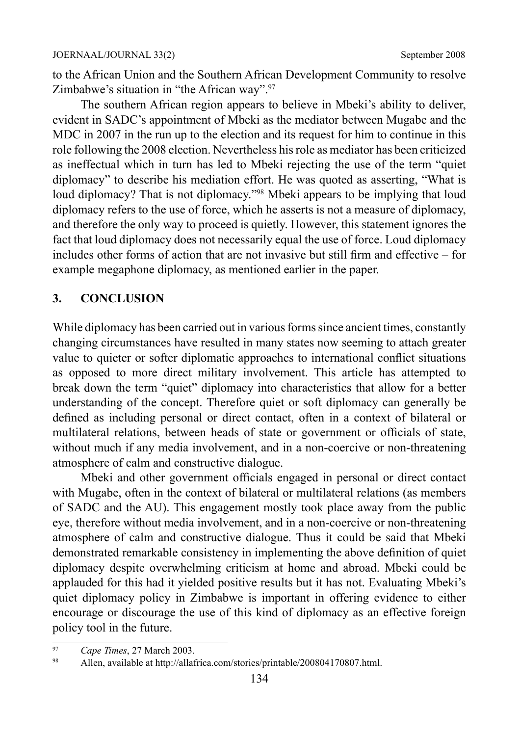to the African Union and the Southern African Development Community to resolve Zimbabwe's situation in "the African way".<sup>97</sup>

The southern African region appears to believe in Mbeki's ability to deliver, evident in SADC's appointment of Mbeki as the mediator between Mugabe and the MDC in 2007 in the run up to the election and its request for him to continue in this role following the 2008 election. Nevertheless his role as mediator has been criticized as ineffectual which in turn has led to Mbeki rejecting the use of the term "quiet diplomacy" to describe his mediation effort. He was quoted as asserting, "What is loud diplomacy? That is not diplomacy."98 Mbeki appears to be implying that loud diplomacy refers to the use of force, which he asserts is not a measure of diplomacy, and therefore the only way to proceed is quietly. However, this statement ignores the fact that loud diplomacy does not necessarily equal the use of force. Loud diplomacy includes other forms of action that are not invasive but still firm and effective – for example megaphone diplomacy, as mentioned earlier in the paper.

### **3. CONCLUSION**

While diplomacy has been carried out in various forms since ancient times, constantly changing circumstances have resulted in many states now seeming to attach greater value to quieter or softer diplomatic approaches to international conflict situations as opposed to more direct military involvement. This article has attempted to break down the term "quiet" diplomacy into characteristics that allow for a better understanding of the concept. Therefore quiet or soft diplomacy can generally be defined as including personal or direct contact, often in a context of bilateral or multilateral relations, between heads of state or government or officials of state, without much if any media involvement, and in a non-coercive or non-threatening atmosphere of calm and constructive dialogue.

Mbeki and other government officials engaged in personal or direct contact with Mugabe, often in the context of bilateral or multilateral relations (as members of SADC and the AU). This engagement mostly took place away from the public eye, therefore without media involvement, and in a non-coercive or non-threatening atmosphere of calm and constructive dialogue. Thus it could be said that Mbeki demonstrated remarkable consistency in implementing the above definition of quiet diplomacy despite overwhelming criticism at home and abroad. Mbeki could be applauded for this had it yielded positive results but it has not. Evaluating Mbeki's quiet diplomacy policy in Zimbabwe is important in offering evidence to either encourage or discourage the use of this kind of diplomacy as an effective foreign policy tool in the future.

<sup>97</sup> *Cape Times*, 27 March 2003.

<sup>98</sup> Allen, available at http://allafrica.com/stories/printable/200804170807.html.